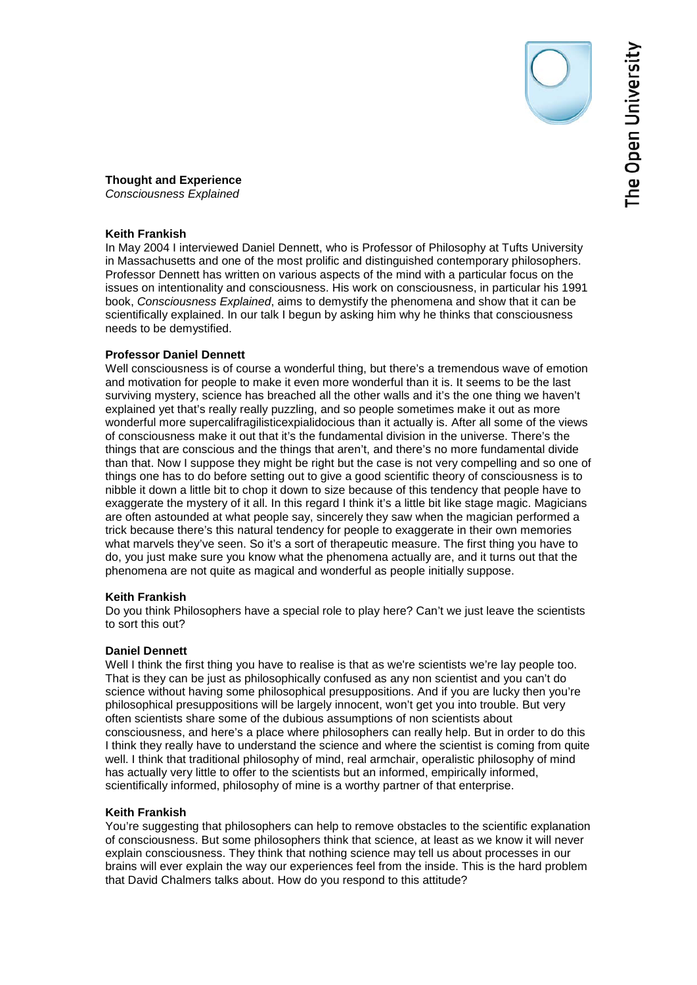**Thought and Experience**  *Consciousness Explained*

# **Keith Frankish**

In May 2004 I interviewed Daniel Dennett, who is Professor of Philosophy at Tufts University in Massachusetts and one of the most prolific and distinguished contemporary philosophers. Professor Dennett has written on various aspects of the mind with a particular focus on the issues on intentionality and consciousness. His work on consciousness, in particular his 1991 book, *Consciousness Explained*, aims to demystify the phenomena and show that it can be scientifically explained. In our talk I begun by asking him why he thinks that consciousness needs to be demystified.

# **Professor Daniel Dennett**

Well consciousness is of course a wonderful thing, but there's a tremendous wave of emotion and motivation for people to make it even more wonderful than it is. It seems to be the last surviving mystery, science has breached all the other walls and it's the one thing we haven't explained yet that's really really puzzling, and so people sometimes make it out as more wonderful more supercalifragilisticexpialidocious than it actually is. After all some of the views of consciousness make it out that it's the fundamental division in the universe. There's the things that are conscious and the things that aren't, and there's no more fundamental divide than that. Now I suppose they might be right but the case is not very compelling and so one of things one has to do before setting out to give a good scientific theory of consciousness is to nibble it down a little bit to chop it down to size because of this tendency that people have to exaggerate the mystery of it all. In this regard I think it's a little bit like stage magic. Magicians are often astounded at what people say, sincerely they saw when the magician performed a trick because there's this natural tendency for people to exaggerate in their own memories what marvels they've seen. So it's a sort of therapeutic measure. The first thing you have to do, you just make sure you know what the phenomena actually are, and it turns out that the phenomena are not quite as magical and wonderful as people initially suppose.

# **Keith Frankish**

Do you think Philosophers have a special role to play here? Can't we just leave the scientists to sort this out?

# **Daniel Dennett**

Well I think the first thing you have to realise is that as we're scientists we're lay people too. That is they can be just as philosophically confused as any non scientist and you can't do science without having some philosophical presuppositions. And if you are lucky then you're philosophical presuppositions will be largely innocent, won't get you into trouble. But very often scientists share some of the dubious assumptions of non scientists about consciousness, and here's a place where philosophers can really help. But in order to do this I think they really have to understand the science and where the scientist is coming from quite well. I think that traditional philosophy of mind, real armchair, operalistic philosophy of mind has actually very little to offer to the scientists but an informed, empirically informed, scientifically informed, philosophy of mine is a worthy partner of that enterprise.

# **Keith Frankish**

You're suggesting that philosophers can help to remove obstacles to the scientific explanation of consciousness. But some philosophers think that science, at least as we know it will never explain consciousness. They think that nothing science may tell us about processes in our brains will ever explain the way our experiences feel from the inside. This is the hard problem that David Chalmers talks about. How do you respond to this attitude?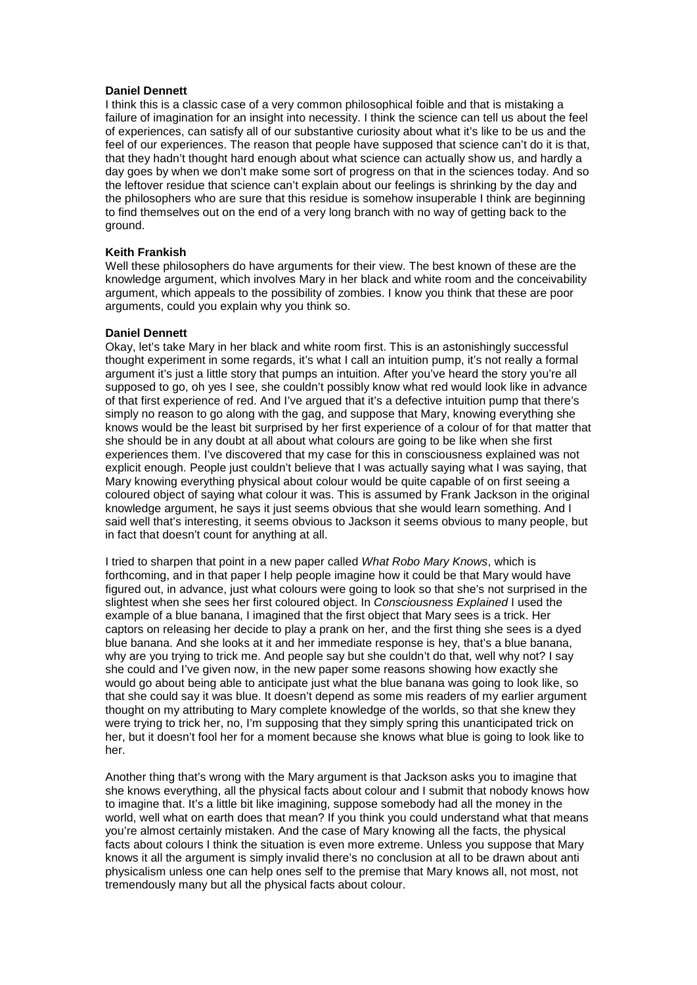## **Daniel Dennett**

I think this is a classic case of a very common philosophical foible and that is mistaking a failure of imagination for an insight into necessity. I think the science can tell us about the feel of experiences, can satisfy all of our substantive curiosity about what it's like to be us and the feel of our experiences. The reason that people have supposed that science can't do it is that, that they hadn't thought hard enough about what science can actually show us, and hardly a day goes by when we don't make some sort of progress on that in the sciences today. And so the leftover residue that science can't explain about our feelings is shrinking by the day and the philosophers who are sure that this residue is somehow insuperable I think are beginning to find themselves out on the end of a very long branch with no way of getting back to the ground.

### **Keith Frankish**

Well these philosophers do have arguments for their view. The best known of these are the knowledge argument, which involves Mary in her black and white room and the conceivability argument, which appeals to the possibility of zombies. I know you think that these are poor arguments, could you explain why you think so.

### **Daniel Dennett**

Okay, let's take Mary in her black and white room first. This is an astonishingly successful thought experiment in some regards, it's what I call an intuition pump, it's not really a formal argument it's just a little story that pumps an intuition. After you've heard the story you're all supposed to go, oh yes I see, she couldn't possibly know what red would look like in advance of that first experience of red. And I've argued that it's a defective intuition pump that there's simply no reason to go along with the gag, and suppose that Mary, knowing everything she knows would be the least bit surprised by her first experience of a colour of for that matter that she should be in any doubt at all about what colours are going to be like when she first experiences them. I've discovered that my case for this in consciousness explained was not explicit enough. People just couldn't believe that I was actually saying what I was saying, that Mary knowing everything physical about colour would be quite capable of on first seeing a coloured object of saying what colour it was. This is assumed by Frank Jackson in the original knowledge argument, he says it just seems obvious that she would learn something. And I said well that's interesting, it seems obvious to Jackson it seems obvious to many people, but in fact that doesn't count for anything at all.

I tried to sharpen that point in a new paper called *What Robo Mary Knows*, which is forthcoming, and in that paper I help people imagine how it could be that Mary would have figured out, in advance, just what colours were going to look so that she's not surprised in the slightest when she sees her first coloured object. In *Consciousness Explained* I used the example of a blue banana, I imagined that the first object that Mary sees is a trick. Her captors on releasing her decide to play a prank on her, and the first thing she sees is a dyed blue banana. And she looks at it and her immediate response is hey, that's a blue banana, why are you trying to trick me. And people say but she couldn't do that, well why not? I say she could and I've given now, in the new paper some reasons showing how exactly she would go about being able to anticipate just what the blue banana was going to look like, so that she could say it was blue. It doesn't depend as some mis readers of my earlier argument thought on my attributing to Mary complete knowledge of the worlds, so that she knew they were trying to trick her, no, I'm supposing that they simply spring this unanticipated trick on her, but it doesn't fool her for a moment because she knows what blue is going to look like to her.

Another thing that's wrong with the Mary argument is that Jackson asks you to imagine that she knows everything, all the physical facts about colour and I submit that nobody knows how to imagine that. It's a little bit like imagining, suppose somebody had all the money in the world, well what on earth does that mean? If you think you could understand what that means you're almost certainly mistaken. And the case of Mary knowing all the facts, the physical facts about colours I think the situation is even more extreme. Unless you suppose that Mary knows it all the argument is simply invalid there's no conclusion at all to be drawn about anti physicalism unless one can help ones self to the premise that Mary knows all, not most, not tremendously many but all the physical facts about colour.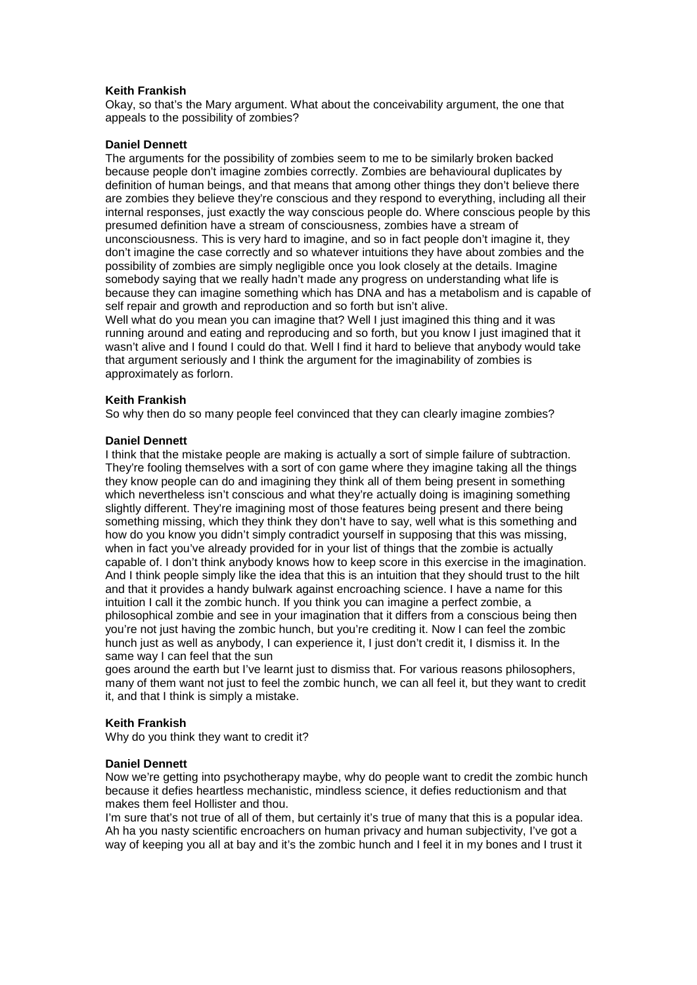# **Keith Frankish**

Okay, so that's the Mary argument. What about the conceivability argument, the one that appeals to the possibility of zombies?

#### **Daniel Dennett**

The arguments for the possibility of zombies seem to me to be similarly broken backed because people don't imagine zombies correctly. Zombies are behavioural duplicates by definition of human beings, and that means that among other things they don't believe there are zombies they believe they're conscious and they respond to everything, including all their internal responses, just exactly the way conscious people do. Where conscious people by this presumed definition have a stream of consciousness, zombies have a stream of unconsciousness. This is very hard to imagine, and so in fact people don't imagine it, they don't imagine the case correctly and so whatever intuitions they have about zombies and the possibility of zombies are simply negligible once you look closely at the details. Imagine somebody saying that we really hadn't made any progress on understanding what life is because they can imagine something which has DNA and has a metabolism and is capable of self repair and growth and reproduction and so forth but isn't alive.

Well what do you mean you can imagine that? Well I just imagined this thing and it was running around and eating and reproducing and so forth, but you know I just imagined that it wasn't alive and I found I could do that. Well I find it hard to believe that anybody would take that argument seriously and I think the argument for the imaginability of zombies is approximately as forlorn.

### **Keith Frankish**

So why then do so many people feel convinced that they can clearly imagine zombies?

### **Daniel Dennett**

I think that the mistake people are making is actually a sort of simple failure of subtraction. They're fooling themselves with a sort of con game where they imagine taking all the things they know people can do and imagining they think all of them being present in something which nevertheless isn't conscious and what they're actually doing is imagining something slightly different. They're imagining most of those features being present and there being something missing, which they think they don't have to say, well what is this something and how do you know you didn't simply contradict yourself in supposing that this was missing, when in fact you've already provided for in your list of things that the zombie is actually capable of. I don't think anybody knows how to keep score in this exercise in the imagination. And I think people simply like the idea that this is an intuition that they should trust to the hilt and that it provides a handy bulwark against encroaching science. I have a name for this intuition I call it the zombic hunch. If you think you can imagine a perfect zombie, a philosophical zombie and see in your imagination that it differs from a conscious being then you're not just having the zombic hunch, but you're crediting it. Now I can feel the zombic hunch just as well as anybody, I can experience it, I just don't credit it, I dismiss it. In the same way I can feel that the sun

goes around the earth but I've learnt just to dismiss that. For various reasons philosophers, many of them want not just to feel the zombic hunch, we can all feel it, but they want to credit it, and that I think is simply a mistake.

# **Keith Frankish**

Why do you think they want to credit it?

#### **Daniel Dennett**

Now we're getting into psychotherapy maybe, why do people want to credit the zombic hunch because it defies heartless mechanistic, mindless science, it defies reductionism and that makes them feel Hollister and thou.

I'm sure that's not true of all of them, but certainly it's true of many that this is a popular idea. Ah ha you nasty scientific encroachers on human privacy and human subjectivity, I've got a way of keeping you all at bay and it's the zombic hunch and I feel it in my bones and I trust it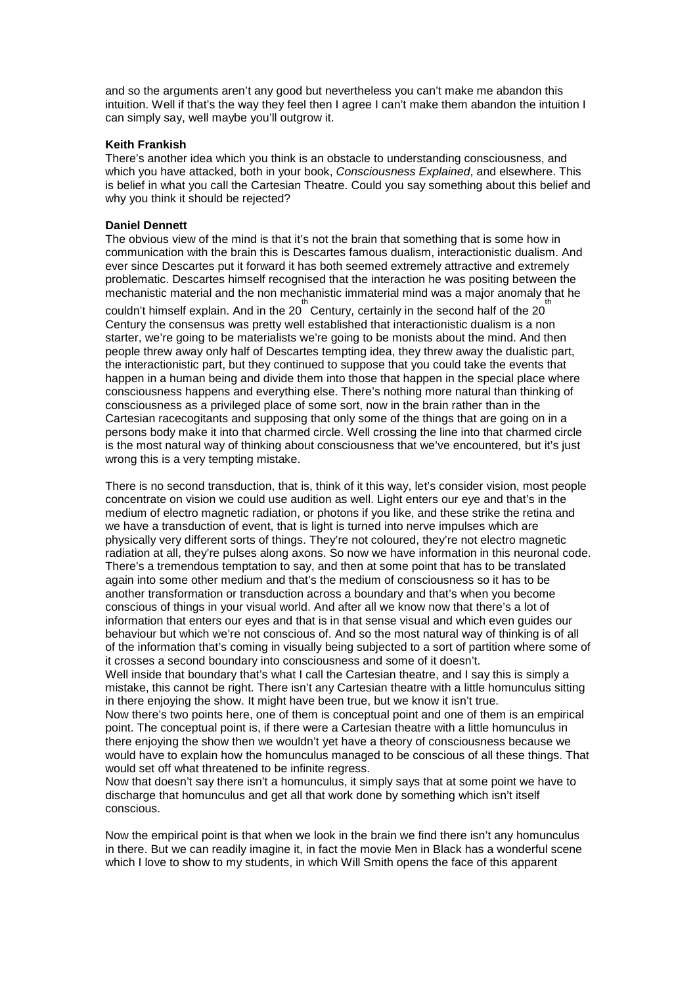and so the arguments aren't any good but nevertheless you can't make me abandon this intuition. Well if that's the way they feel then I agree I can't make them abandon the intuition I can simply say, well maybe you'll outgrow it.

### **Keith Frankish**

There's another idea which you think is an obstacle to understanding consciousness, and which you have attacked, both in your book, *Consciousness Explained*, and elsewhere. This is belief in what you call the Cartesian Theatre. Could you say something about this belief and why you think it should be rejected?

#### **Daniel Dennett**

The obvious view of the mind is that it's not the brain that something that is some how in communication with the brain this is Descartes famous dualism, interactionistic dualism. And ever since Descartes put it forward it has both seemed extremely attractive and extremely problematic. Descartes himself recognised that the interaction he was positing between the mechanistic material and the non mechanistic immaterial mind was a major anomaly that he

couldn't himself explain. And in the 20<sup>th</sup> Century, certainly in the second half of the 20<sup>th</sup> Century the consensus was pretty well established that interactionistic dualism is a non starter, we're going to be materialists we're going to be monists about the mind. And then people threw away only half of Descartes tempting idea, they threw away the dualistic part, the interactionistic part, but they continued to suppose that you could take the events that happen in a human being and divide them into those that happen in the special place where consciousness happens and everything else. There's nothing more natural than thinking of consciousness as a privileged place of some sort, now in the brain rather than in the Cartesian racecogitants and supposing that only some of the things that are going on in a persons body make it into that charmed circle. Well crossing the line into that charmed circle is the most natural way of thinking about consciousness that we've encountered, but it's just wrong this is a very tempting mistake.

There is no second transduction, that is, think of it this way, let's consider vision, most people concentrate on vision we could use audition as well. Light enters our eye and that's in the medium of electro magnetic radiation, or photons if you like, and these strike the retina and we have a transduction of event, that is light is turned into nerve impulses which are physically very different sorts of things. They're not coloured, they're not electro magnetic radiation at all, they're pulses along axons. So now we have information in this neuronal code. There's a tremendous temptation to say, and then at some point that has to be translated again into some other medium and that's the medium of consciousness so it has to be another transformation or transduction across a boundary and that's when you become conscious of things in your visual world. And after all we know now that there's a lot of information that enters our eyes and that is in that sense visual and which even guides our behaviour but which we're not conscious of. And so the most natural way of thinking is of all of the information that's coming in visually being subjected to a sort of partition where some of it crosses a second boundary into consciousness and some of it doesn't.

Well inside that boundary that's what I call the Cartesian theatre, and I say this is simply a mistake, this cannot be right. There isn't any Cartesian theatre with a little homunculus sitting in there enjoying the show. It might have been true, but we know it isn't true.

Now there's two points here, one of them is conceptual point and one of them is an empirical point. The conceptual point is, if there were a Cartesian theatre with a little homunculus in there enjoying the show then we wouldn't yet have a theory of consciousness because we would have to explain how the homunculus managed to be conscious of all these things. That would set off what threatened to be infinite regress.

Now that doesn't say there isn't a homunculus, it simply says that at some point we have to discharge that homunculus and get all that work done by something which isn't itself conscious.

Now the empirical point is that when we look in the brain we find there isn't any homunculus in there. But we can readily imagine it, in fact the movie Men in Black has a wonderful scene which I love to show to my students, in which Will Smith opens the face of this apparent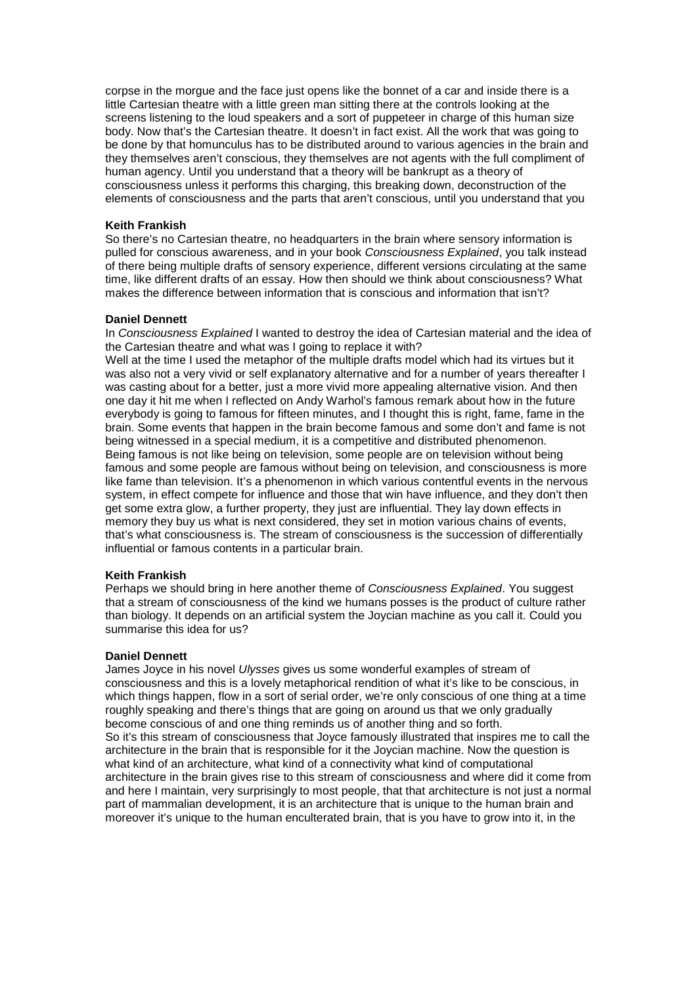corpse in the morgue and the face just opens like the bonnet of a car and inside there is a little Cartesian theatre with a little green man sitting there at the controls looking at the screens listening to the loud speakers and a sort of puppeteer in charge of this human size body. Now that's the Cartesian theatre. It doesn't in fact exist. All the work that was going to be done by that homunculus has to be distributed around to various agencies in the brain and they themselves aren't conscious, they themselves are not agents with the full compliment of human agency. Until you understand that a theory will be bankrupt as a theory of consciousness unless it performs this charging, this breaking down, deconstruction of the elements of consciousness and the parts that aren't conscious, until you understand that you

## **Keith Frankish**

So there's no Cartesian theatre, no headquarters in the brain where sensory information is pulled for conscious awareness, and in your book *Consciousness Explained*, you talk instead of there being multiple drafts of sensory experience, different versions circulating at the same time, like different drafts of an essay. How then should we think about consciousness? What makes the difference between information that is conscious and information that isn't?

### **Daniel Dennett**

In *Consciousness Explained* I wanted to destroy the idea of Cartesian material and the idea of the Cartesian theatre and what was I going to replace it with?

Well at the time I used the metaphor of the multiple drafts model which had its virtues but it was also not a very vivid or self explanatory alternative and for a number of years thereafter I was casting about for a better, just a more vivid more appealing alternative vision. And then one day it hit me when I reflected on Andy Warhol's famous remark about how in the future everybody is going to famous for fifteen minutes, and I thought this is right, fame, fame in the brain. Some events that happen in the brain become famous and some don't and fame is not being witnessed in a special medium, it is a competitive and distributed phenomenon. Being famous is not like being on television, some people are on television without being famous and some people are famous without being on television, and consciousness is more like fame than television. It's a phenomenon in which various contentful events in the nervous system, in effect compete for influence and those that win have influence, and they don't then get some extra glow, a further property, they just are influential. They lay down effects in memory they buy us what is next considered, they set in motion various chains of events, that's what consciousness is. The stream of consciousness is the succession of differentially influential or famous contents in a particular brain.

### **Keith Frankish**

Perhaps we should bring in here another theme of *Consciousness Explained*. You suggest that a stream of consciousness of the kind we humans posses is the product of culture rather than biology. It depends on an artificial system the Joycian machine as you call it. Could you summarise this idea for us?

#### **Daniel Dennett**

James Joyce in his novel *Ulysses* gives us some wonderful examples of stream of consciousness and this is a lovely metaphorical rendition of what it's like to be conscious, in which things happen, flow in a sort of serial order, we're only conscious of one thing at a time roughly speaking and there's things that are going on around us that we only gradually become conscious of and one thing reminds us of another thing and so forth. So it's this stream of consciousness that Joyce famously illustrated that inspires me to call the architecture in the brain that is responsible for it the Joycian machine. Now the question is what kind of an architecture, what kind of a connectivity what kind of computational architecture in the brain gives rise to this stream of consciousness and where did it come from and here I maintain, very surprisingly to most people, that that architecture is not just a normal part of mammalian development, it is an architecture that is unique to the human brain and moreover it's unique to the human enculterated brain, that is you have to grow into it, in the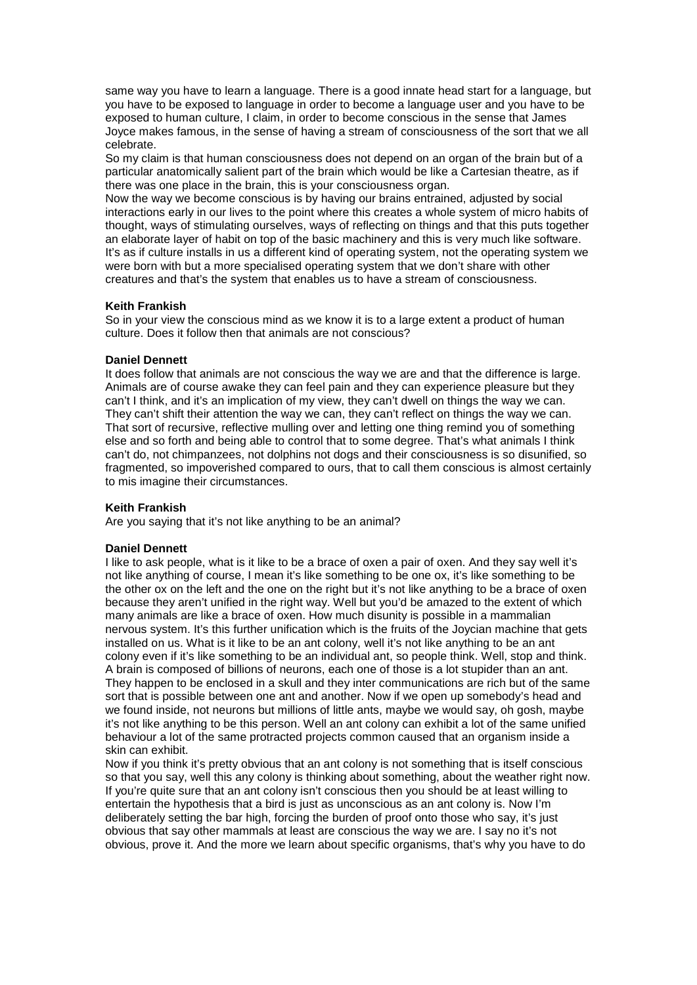same way you have to learn a language. There is a good innate head start for a language, but you have to be exposed to language in order to become a language user and you have to be exposed to human culture, I claim, in order to become conscious in the sense that James Joyce makes famous, in the sense of having a stream of consciousness of the sort that we all celebrate.

So my claim is that human consciousness does not depend on an organ of the brain but of a particular anatomically salient part of the brain which would be like a Cartesian theatre, as if there was one place in the brain, this is your consciousness organ.

Now the way we become conscious is by having our brains entrained, adjusted by social interactions early in our lives to the point where this creates a whole system of micro habits of thought, ways of stimulating ourselves, ways of reflecting on things and that this puts together an elaborate layer of habit on top of the basic machinery and this is very much like software. It's as if culture installs in us a different kind of operating system, not the operating system we were born with but a more specialised operating system that we don't share with other creatures and that's the system that enables us to have a stream of consciousness.

# **Keith Frankish**

So in your view the conscious mind as we know it is to a large extent a product of human culture. Does it follow then that animals are not conscious?

### **Daniel Dennett**

It does follow that animals are not conscious the way we are and that the difference is large. Animals are of course awake they can feel pain and they can experience pleasure but they can't I think, and it's an implication of my view, they can't dwell on things the way we can. They can't shift their attention the way we can, they can't reflect on things the way we can. That sort of recursive, reflective mulling over and letting one thing remind you of something else and so forth and being able to control that to some degree. That's what animals I think can't do, not chimpanzees, not dolphins not dogs and their consciousness is so disunified, so fragmented, so impoverished compared to ours, that to call them conscious is almost certainly to mis imagine their circumstances.

# **Keith Frankish**

Are you saying that it's not like anything to be an animal?

#### **Daniel Dennett**

I like to ask people, what is it like to be a brace of oxen a pair of oxen. And they say well it's not like anything of course, I mean it's like something to be one ox, it's like something to be the other ox on the left and the one on the right but it's not like anything to be a brace of oxen because they aren't unified in the right way. Well but you'd be amazed to the extent of which many animals are like a brace of oxen. How much disunity is possible in a mammalian nervous system. It's this further unification which is the fruits of the Joycian machine that gets installed on us. What is it like to be an ant colony, well it's not like anything to be an ant colony even if it's like something to be an individual ant, so people think. Well, stop and think. A brain is composed of billions of neurons, each one of those is a lot stupider than an ant. They happen to be enclosed in a skull and they inter communications are rich but of the same sort that is possible between one ant and another. Now if we open up somebody's head and we found inside, not neurons but millions of little ants, maybe we would say, oh gosh, maybe it's not like anything to be this person. Well an ant colony can exhibit a lot of the same unified behaviour a lot of the same protracted projects common caused that an organism inside a skin can exhibit.

Now if you think it's pretty obvious that an ant colony is not something that is itself conscious so that you say, well this any colony is thinking about something, about the weather right now. If you're quite sure that an ant colony isn't conscious then you should be at least willing to entertain the hypothesis that a bird is just as unconscious as an ant colony is. Now I'm deliberately setting the bar high, forcing the burden of proof onto those who say, it's just obvious that say other mammals at least are conscious the way we are. I say no it's not obvious, prove it. And the more we learn about specific organisms, that's why you have to do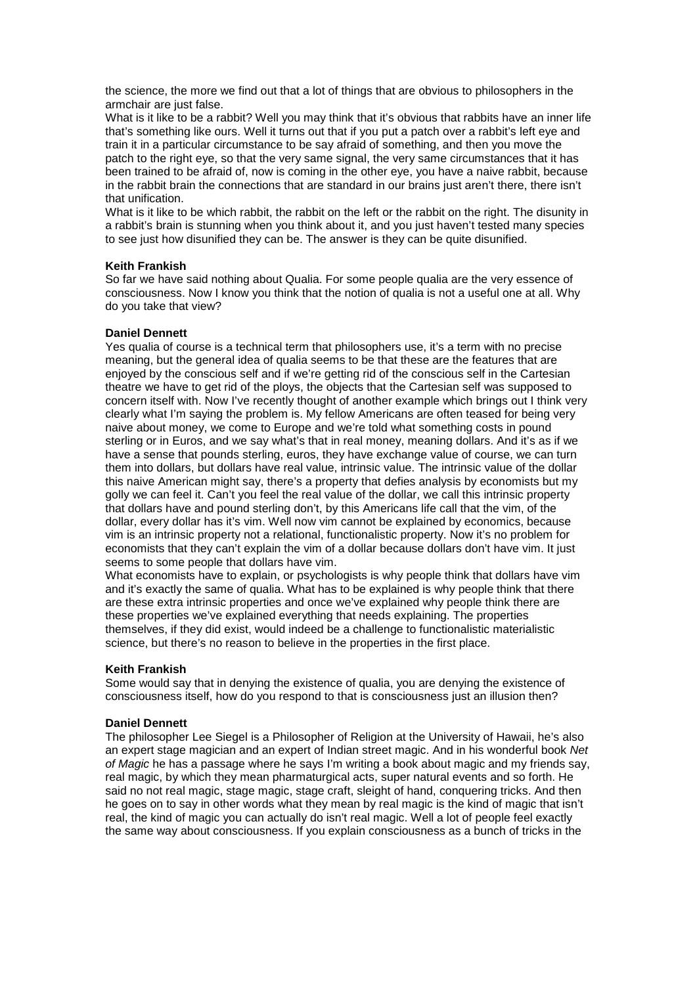the science, the more we find out that a lot of things that are obvious to philosophers in the armchair are just false.

What is it like to be a rabbit? Well you may think that it's obvious that rabbits have an inner life that's something like ours. Well it turns out that if you put a patch over a rabbit's left eye and train it in a particular circumstance to be say afraid of something, and then you move the patch to the right eye, so that the very same signal, the very same circumstances that it has been trained to be afraid of, now is coming in the other eye, you have a naive rabbit, because in the rabbit brain the connections that are standard in our brains just aren't there, there isn't that unification.

What is it like to be which rabbit, the rabbit on the left or the rabbit on the right. The disunity in a rabbit's brain is stunning when you think about it, and you just haven't tested many species to see just how disunified they can be. The answer is they can be quite disunified.

# **Keith Frankish**

So far we have said nothing about Qualia. For some people qualia are the very essence of consciousness. Now I know you think that the notion of qualia is not a useful one at all. Why do you take that view?

# **Daniel Dennett**

Yes qualia of course is a technical term that philosophers use, it's a term with no precise meaning, but the general idea of qualia seems to be that these are the features that are enjoyed by the conscious self and if we're getting rid of the conscious self in the Cartesian theatre we have to get rid of the ploys, the objects that the Cartesian self was supposed to concern itself with. Now I've recently thought of another example which brings out I think very clearly what I'm saying the problem is. My fellow Americans are often teased for being very naive about money, we come to Europe and we're told what something costs in pound sterling or in Euros, and we say what's that in real money, meaning dollars. And it's as if we have a sense that pounds sterling, euros, they have exchange value of course, we can turn them into dollars, but dollars have real value, intrinsic value. The intrinsic value of the dollar this naive American might say, there's a property that defies analysis by economists but my golly we can feel it. Can't you feel the real value of the dollar, we call this intrinsic property that dollars have and pound sterling don't, by this Americans life call that the vim, of the dollar, every dollar has it's vim. Well now vim cannot be explained by economics, because vim is an intrinsic property not a relational, functionalistic property. Now it's no problem for economists that they can't explain the vim of a dollar because dollars don't have vim. It just seems to some people that dollars have vim.

What economists have to explain, or psychologists is why people think that dollars have vim and it's exactly the same of qualia. What has to be explained is why people think that there are these extra intrinsic properties and once we've explained why people think there are these properties we've explained everything that needs explaining. The properties themselves, if they did exist, would indeed be a challenge to functionalistic materialistic science, but there's no reason to believe in the properties in the first place.

# **Keith Frankish**

Some would say that in denying the existence of qualia, you are denying the existence of consciousness itself, how do you respond to that is consciousness just an illusion then?

# **Daniel Dennett**

The philosopher Lee Siegel is a Philosopher of Religion at the University of Hawaii, he's also an expert stage magician and an expert of Indian street magic. And in his wonderful book *Net of Magic* he has a passage where he says I'm writing a book about magic and my friends say, real magic, by which they mean pharmaturgical acts, super natural events and so forth. He said no not real magic, stage magic, stage craft, sleight of hand, conquering tricks. And then he goes on to say in other words what they mean by real magic is the kind of magic that isn't real, the kind of magic you can actually do isn't real magic. Well a lot of people feel exactly the same way about consciousness. If you explain consciousness as a bunch of tricks in the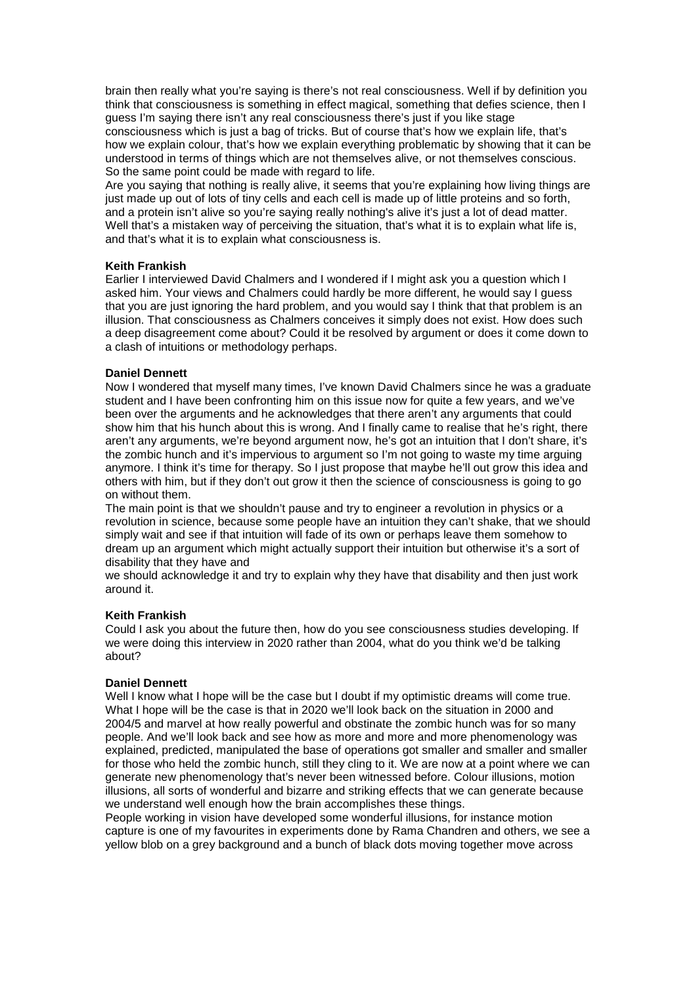brain then really what you're saying is there's not real consciousness. Well if by definition you think that consciousness is something in effect magical, something that defies science, then I guess I'm saying there isn't any real consciousness there's just if you like stage consciousness which is just a bag of tricks. But of course that's how we explain life, that's how we explain colour, that's how we explain everything problematic by showing that it can be understood in terms of things which are not themselves alive, or not themselves conscious. So the same point could be made with regard to life.

Are you saying that nothing is really alive, it seems that you're explaining how living things are just made up out of lots of tiny cells and each cell is made up of little proteins and so forth, and a protein isn't alive so you're saying really nothing's alive it's just a lot of dead matter. Well that's a mistaken way of perceiving the situation, that's what it is to explain what life is, and that's what it is to explain what consciousness is.

# **Keith Frankish**

Earlier I interviewed David Chalmers and I wondered if I might ask you a question which I asked him. Your views and Chalmers could hardly be more different, he would say I guess that you are just ignoring the hard problem, and you would say I think that that problem is an illusion. That consciousness as Chalmers conceives it simply does not exist. How does such a deep disagreement come about? Could it be resolved by argument or does it come down to a clash of intuitions or methodology perhaps.

### **Daniel Dennett**

Now I wondered that myself many times, I've known David Chalmers since he was a graduate student and I have been confronting him on this issue now for quite a few years, and we've been over the arguments and he acknowledges that there aren't any arguments that could show him that his hunch about this is wrong. And I finally came to realise that he's right, there aren't any arguments, we're beyond argument now, he's got an intuition that I don't share, it's the zombic hunch and it's impervious to argument so I'm not going to waste my time arguing anymore. I think it's time for therapy. So I just propose that maybe he'll out grow this idea and others with him, but if they don't out grow it then the science of consciousness is going to go on without them.

The main point is that we shouldn't pause and try to engineer a revolution in physics or a revolution in science, because some people have an intuition they can't shake, that we should simply wait and see if that intuition will fade of its own or perhaps leave them somehow to dream up an argument which might actually support their intuition but otherwise it's a sort of disability that they have and

we should acknowledge it and try to explain why they have that disability and then just work around it.

#### **Keith Frankish**

Could I ask you about the future then, how do you see consciousness studies developing. If we were doing this interview in 2020 rather than 2004, what do you think we'd be talking about?

### **Daniel Dennett**

Well I know what I hope will be the case but I doubt if my optimistic dreams will come true. What I hope will be the case is that in 2020 we'll look back on the situation in 2000 and 2004/5 and marvel at how really powerful and obstinate the zombic hunch was for so many people. And we'll look back and see how as more and more and more phenomenology was explained, predicted, manipulated the base of operations got smaller and smaller and smaller for those who held the zombic hunch, still they cling to it. We are now at a point where we can generate new phenomenology that's never been witnessed before. Colour illusions, motion illusions, all sorts of wonderful and bizarre and striking effects that we can generate because we understand well enough how the brain accomplishes these things.

People working in vision have developed some wonderful illusions, for instance motion capture is one of my favourites in experiments done by Rama Chandren and others, we see a yellow blob on a grey background and a bunch of black dots moving together move across